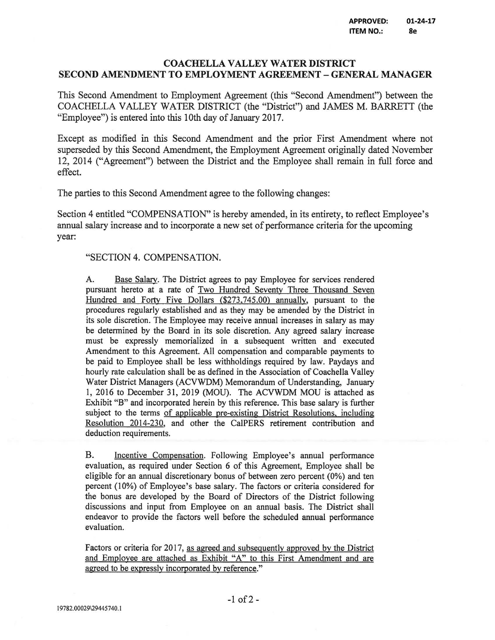## COACHELLA VALLEY WATER DISTRICT SECOND AMENDMENT TO EMPLOYMENT AGREEMENT - GENERAL MANAGER

This Second Amendment to Employment Agreement (this "Second Amendment") between the COACHELLA VALLEY WATER DISTRICT (the "District") and JAMES M. BARRETT (the "Employee") is entered into this 10th day of January 2017.

Except as modified in this Second Amendment and the prior First Amendment where not superseded by this Second Amendment, the Employment Agreement originally dated November 12, 2014 ("Agreement") between the District and the Employee shall remain in full force and effect.

The parties to this Second Amendment agree to the following changes:

Section 4 entitled "COMPENSATION" is hereby amended, in its entirety, to reflect Employee's annual salary increase and to incorporate a new set of performance criteria for the upcoming year:

"SECTION 4. COMPENSATION.

A. Base Salary. The District agrees to pay Employee for services rendered pursuant hereto at a rate of Two Hundred Seventy Three Thousand Seven Hundred and Forty Five Dollars (\$273, 745.00) annually, pursuant to the procedures regularly established and as they may be amended by the District in its sole discretion. The Employee may receive annual increases in salary as may be determined by the Board in its sole discretion. Any agreed salary increase must be expressly memorialized in a subsequent written and executed Amendment to this Agreement. All compensation and comparable payments to be paid to Employee shall be less withholdings required by law. Paydays and hourly rate calculation shall be as defined in the Association of Coachella Valley Water District Managers (ACVWDM) Memorandum of Understanding, January 1, 2016 to December 31, 2019 (MOU). The ACVWDM MOU is attached as Exhibit "B" and incorporated herein by this reference. This base salary is further subject to the terms of applicable pre-existing District Resolutions, including Resolution 2014-230, and other the CalPERS retirement contribution and deduction requirements.

B. Incentive Compensation. Following Employee's annual performance evaluation, as required under Section 6 of this Agreement, Employee shall be eligible for an annual discretionary bonus of between zero percent (0%) and ten percent (10%) of Employee's base salary. The factors or criteria considered for the bonus are developed by the Board of Directors of the District following discussions and input from Employee on an annual basis. The District shall endeavor to provide the factors well before the scheduled annual performance evaluation.

Factors or criteria for 2017, as agreed and subsequently approved by the District and Employee are attached as Exhibit "A" to this First Amendment and are agreed to be expressly incorporated by reference."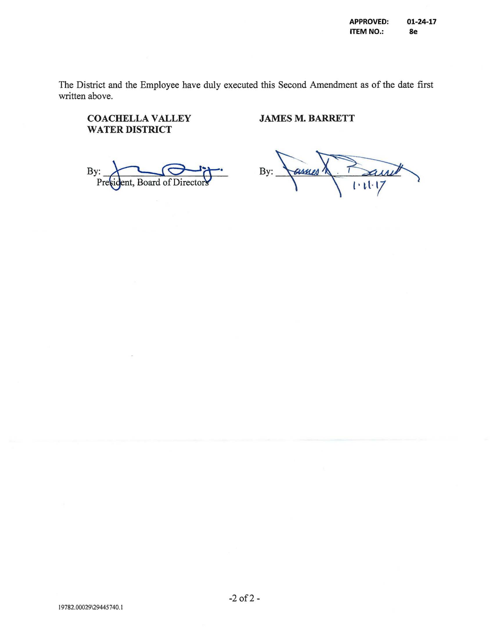The District and the Employee have duly executed this Second Amendment as of the date first written above.

## COACHELLA VALLEY WATER DISTRICT

# JAMES M. BARRETT

By: ent, Board of Director

Paint By: GIAMES A